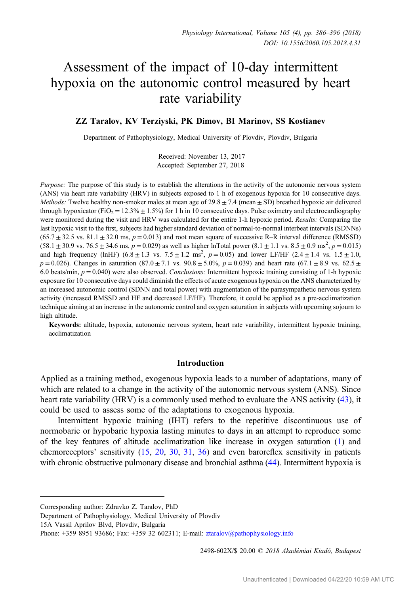# Assessment of the impact of 10-day intermittent hypoxia on the autonomic control measured by heart rate variability

# ZZ Taralov, KV Terziyski, PK Dimov, BI Marinov, SS Kostianev

Department of Pathophysiology, Medical University of Plovdiv, Plovdiv, Bulgaria

Received: November 13, 2017 Accepted: September 27, 2018

Purpose: The purpose of this study is to establish the alterations in the activity of the autonomic nervous system (ANS) via heart rate variability (HRV) in subjects exposed to 1 h of exogenous hypoxia for 10 consecutive days. *Methods:* Twelve healthy non-smoker males at mean age of  $29.8 \pm 7.4$  (mean  $\pm$  SD) breathed hypoxic air delivered through hypoxicator (FiO<sub>2</sub> = 12.3%  $\pm$  1.5%) for 1 h in 10 consecutive days. Pulse oximetry and electrocardiography were monitored during the visit and HRV was calculated for the entire 1-h hypoxic period. Results: Comparing the last hypoxic visit to the first, subjects had higher standard deviation of normal-to-normal interbeat intervals (SDNNs)  $(65.7 \pm 32.5 \text{ vs. } 81.1 \pm 32.0 \text{ ms}, p = 0.013)$  and root mean square of successive R–R interval difference (RMSSD)  $(58.1 \pm 30.9 \text{ vs. } 76.5 \pm 34.6 \text{ ms}, p = 0.029)$  as well as higher lnTotal power  $(8.1 \pm 1.1 \text{ vs. } 8.5 \pm 0.9 \text{ ms}^2, p = 0.015)$ and high frequency (lnHF)  $(6.8 \pm 1.3 \text{ vs. } 7.5 \pm 1.2 \text{ ms}^2, p = 0.05)$  and lower LF/HF  $(2.4 \pm 1.4 \text{ vs. } 1.5 \pm 1.0, p)$  $p = 0.026$ ). Changes in saturation  $(87.0 \pm 7.1 \text{ vs. } 90.8 \pm 5.0\% , p = 0.039)$  and heart rate  $(67.1 \pm 8.9 \text{ vs. } 62.5 \pm 1.0\% )$ 6.0 beats/min,  $p = 0.040$ ) were also observed. Conclusions: Intermittent hypoxic training consisting of 1-h hypoxic exposure for 10 consecutive days could diminish the effects of acute exogenous hypoxia on the ANS characterized by an increased autonomic control (SDNN and total power) with augmentation of the parasympathetic nervous system activity (increased RMSSD and HF and decreased LF/HF). Therefore, it could be applied as a pre-acclimatization technique aiming at an increase in the autonomic control and oxygen saturation in subjects with upcoming sojourn to high altitude.

Keywords: altitude, hypoxia, autonomic nervous system, heart rate variability, intermittent hypoxic training, acclimatization

## Introduction

Applied as a training method, exogenous hypoxia leads to a number of adaptations, many of which are related to a change in the activity of the autonomic nervous system (ANS). Since heart rate variability (HRV) is a commonly used method to evaluate the ANS activity [\(43](#page-9-0)), it could be used to assess some of the adaptations to exogenous hypoxia.

Intermittent hypoxic training (IHT) refers to the repetitive discontinuous use of normobaric or hypobaric hypoxia lasting minutes to days in an attempt to reproduce some of the key features of altitude acclimatization like increase in oxygen saturation [\(1\)](#page-8-0) and chemoreceptors' sensitivity [\(15](#page-8-0), [20](#page-9-0), [30,](#page-9-0) [31](#page-9-0), [36](#page-9-0)) and even baroreflex sensitivity in patients with chronic obstructive pulmonary disease and bronchial asthma ([44\)](#page-10-0). Intermittent hypoxia is

2498-602X/\$ 20.00 © 2018 Akadémiai Kiadó, Budapest

Corresponding author: Zdravko Z. Taralov, PhD

Department of Pathophysiology, Medical University of Plovdiv

<sup>15</sup>A Vassil Aprilov Blvd, Plovdiv, Bulgaria

Phone: +359 8951 93686; Fax: +359 32 602311; E-mail: [ztaralov@pathophysiology.info](mailto:ztaralov@pathophysiology.info)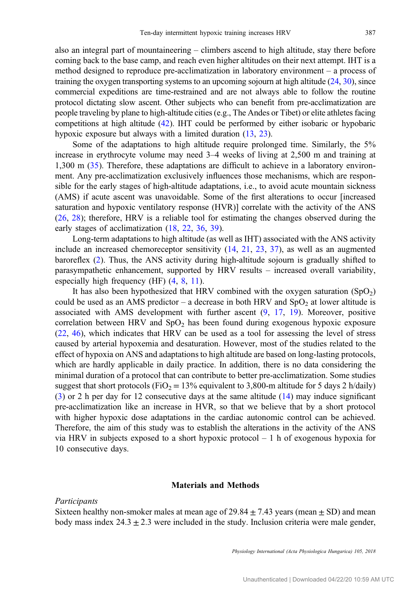also an integral part of mountaineering – climbers ascend to high altitude, stay there before coming back to the base camp, and reach even higher altitudes on their next attempt. IHT is a method designed to reproduce pre-acclimatization in laboratory environment – a process of training the oxygen transporting systems to an upcoming sojourn at high altitude [\(24,](#page-9-0) [30](#page-9-0)), since commercial expeditions are time-restrained and are not always able to follow the routine protocol dictating slow ascent. Other subjects who can benefit from pre-acclimatization are people traveling by plane to high-altitude cities (e.g., The Andes or Tibet) or elite athletes facing competitions at high altitude [\(42](#page-9-0)). IHT could be performed by either isobaric or hypobaric hypoxic exposure but always with a limited duration  $(13, 23)$  $(13, 23)$  $(13, 23)$  $(13, 23)$ .

Some of the adaptations to high altitude require prolonged time. Similarly, the 5% increase in erythrocyte volume may need 3–4 weeks of living at 2,500 m and training at 1,300 m [\(35](#page-9-0)). Therefore, these adaptations are difficult to achieve in a laboratory environment. Any pre-acclimatization exclusively influences those mechanisms, which are responsible for the early stages of high-altitude adaptations, i.e., to avoid acute mountain sickness (AMS) if acute ascent was unavoidable. Some of the first alterations to occur [increased saturation and hypoxic ventilatory response (HVR)] correlate with the activity of the ANS [\(26](#page-9-0), [28](#page-9-0)); therefore, HRV is a reliable tool for estimating the changes observed during the early stages of acclimatization ([18,](#page-9-0) [22,](#page-9-0) [36,](#page-9-0) [39\)](#page-9-0).

Long-term adaptations to high altitude (as well as IHT) associated with the ANS activity include an increased chemoreceptor sensitivity [\(14](#page-8-0), [21,](#page-9-0) [23,](#page-9-0) [37](#page-9-0)), as well as an augmented baroreflex [\(2](#page-8-0)). Thus, the ANS activity during high-altitude sojourn is gradually shifted to parasympathetic enhancement, supported by HRV results – increased overall variability, especially high frequency (HF) [\(4](#page-8-0), [8](#page-8-0), [11](#page-8-0)).

It has also been hypothesized that HRV combined with the oxygen saturation  $(SpO<sub>2</sub>)$ could be used as an AMS predictor – a decrease in both HRV and  $SpO<sub>2</sub>$  at lower altitude is associated with AMS development with further ascent [\(9](#page-8-0), [17,](#page-9-0) [19](#page-9-0)). Moreover, positive correlation between HRV and  $SpO<sub>2</sub>$  has been found during exogenous hypoxic exposure [\(22](#page-9-0), [46](#page-10-0)), which indicates that HRV can be used as a tool for assessing the level of stress caused by arterial hypoxemia and desaturation. However, most of the studies related to the effect of hypoxia on ANS and adaptations to high altitude are based on long-lasting protocols, which are hardly applicable in daily practice. In addition, there is no data considering the minimal duration of a protocol that can contribute to better pre-acclimatization. Some studies suggest that short protocols (FiO<sub>2</sub> = 13% equivalent to 3,800-m altitude for 5 days 2 h/daily) [\(3](#page-8-0)) or 2 h per day for 12 consecutive days at the same altitude [\(14\)](#page-8-0) may induce significant pre-acclimatization like an increase in HVR, so that we believe that by a short protocol with higher hypoxic dose adaptations in the cardiac autonomic control can be achieved. Therefore, the aim of this study was to establish the alterations in the activity of the ANS via HRV in subjects exposed to a short hypoxic protocol  $-1$  h of exogenous hypoxia for 10 consecutive days.

### Materials and Methods

## Participants

Sixteen healthy non-smoker males at mean age of  $29.84 \pm 7.43$  years (mean  $\pm$  SD) and mean body mass index  $24.3 \pm 2.3$  were included in the study. Inclusion criteria were male gender,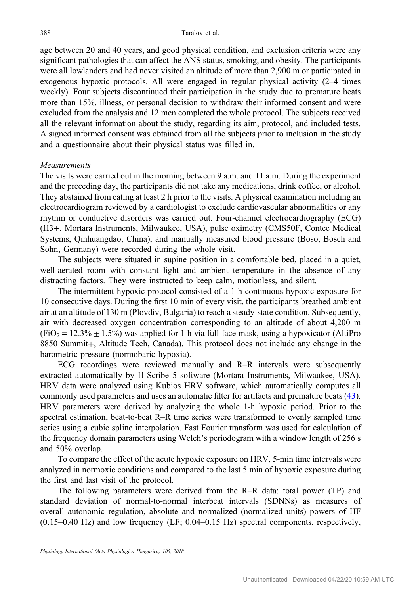age between 20 and 40 years, and good physical condition, and exclusion criteria were any significant pathologies that can affect the ANS status, smoking, and obesity. The participants were all lowlanders and had never visited an altitude of more than 2,900 m or participated in exogenous hypoxic protocols. All were engaged in regular physical activity (2–4 times weekly). Four subjects discontinued their participation in the study due to premature beats more than 15%, illness, or personal decision to withdraw their informed consent and were excluded from the analysis and 12 men completed the whole protocol. The subjects received all the relevant information about the study, regarding its aim, protocol, and included tests. A signed informed consent was obtained from all the subjects prior to inclusion in the study and a questionnaire about their physical status was filled in.

# Measurements

The visits were carried out in the morning between 9 a.m. and 11 a.m. During the experiment and the preceding day, the participants did not take any medications, drink coffee, or alcohol. They abstained from eating at least 2 h prior to the visits. A physical examination including an electrocardiogram reviewed by a cardiologist to exclude cardiovascular abnormalities or any rhythm or conductive disorders was carried out. Four-channel electrocardiography (ECG) (H3+, Mortara Instruments, Milwaukee, USA), pulse oximetry (CMS50F, Contec Medical Systems, Qinhuangdao, China), and manually measured blood pressure (Boso, Bosch and Sohn, Germany) were recorded during the whole visit.

The subjects were situated in supine position in a comfortable bed, placed in a quiet, well-aerated room with constant light and ambient temperature in the absence of any distracting factors. They were instructed to keep calm, motionless, and silent.

The intermittent hypoxic protocol consisted of a 1-h continuous hypoxic exposure for 10 consecutive days. During the first 10 min of every visit, the participants breathed ambient air at an altitude of 130 m (Plovdiv, Bulgaria) to reach a steady-state condition. Subsequently, air with decreased oxygen concentration corresponding to an altitude of about 4,200 m  $(FiO<sub>2</sub> = 12.3\% \pm 1.5\%)$  was applied for 1 h via full-face mask, using a hypoxicator (AltiPro 8850 Summit+, Altitude Tech, Canada). This protocol does not include any change in the barometric pressure (normobaric hypoxia).

ECG recordings were reviewed manually and R–R intervals were subsequently extracted automatically by H-Scribe 5 software (Mortara Instruments, Milwaukee, USA). HRV data were analyzed using Kubios HRV software, which automatically computes all commonly used parameters and uses an automatic filter for artifacts and premature beats [\(43](#page-9-0)). HRV parameters were derived by analyzing the whole 1-h hypoxic period. Prior to the spectral estimation, beat-to-beat R–R time series were transformed to evenly sampled time series using a cubic spline interpolation. Fast Fourier transform was used for calculation of the frequency domain parameters using Welch's periodogram with a window length of 256 s and 50% overlap.

To compare the effect of the acute hypoxic exposure on HRV, 5-min time intervals were analyzed in normoxic conditions and compared to the last 5 min of hypoxic exposure during the first and last visit of the protocol.

The following parameters were derived from the R–R data: total power (TP) and standard deviation of normal-to-normal interbeat intervals (SDNNs) as measures of overall autonomic regulation, absolute and normalized (normalized units) powers of HF (0.15–0.40 Hz) and low frequency (LF; 0.04–0.15 Hz) spectral components, respectively,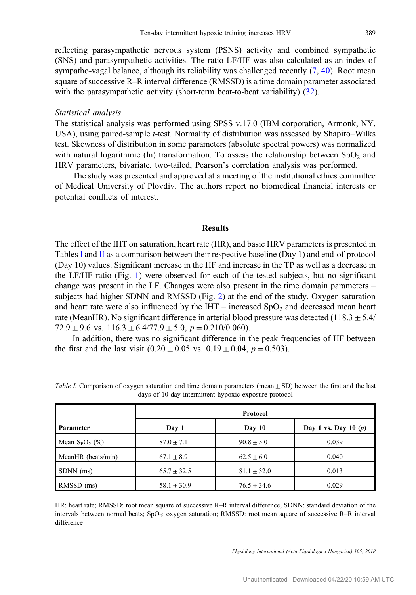reflecting parasympathetic nervous system (PSNS) activity and combined sympathetic (SNS) and parasympathetic activities. The ratio LF/HF was also calculated as an index of sympatho-vagal balance, although its reliability was challenged recently  $(7, 40)$  $(7, 40)$  $(7, 40)$ . Root mean square of successive R–R interval difference (RMSSD) is a time domain parameter associated with the parasympathetic activity (short-term beat-to-beat variability) [\(32](#page-9-0)).

# Statistical analysis

The statistical analysis was performed using SPSS v.17.0 (IBM corporation, Armonk, NY, USA), using paired-sample t-test. Normality of distribution was assessed by Shapiro–Wilks test. Skewness of distribution in some parameters (absolute spectral powers) was normalized with natural logarithmic (ln) transformation. To assess the relationship between  $SpO<sub>2</sub>$  and HRV parameters, bivariate, two-tailed, Pearson's correlation analysis was performed.

The study was presented and approved at a meeting of the institutional ethics committee of Medical University of Plovdiv. The authors report no biomedical financial interests or potential conflicts of interest.

# Results

The effect of the IHT on saturation, heart rate (HR), and basic HRV parameters is presented in Tables I and [II](#page-4-0) as a comparison between their respective baseline (Day 1) and end-of-protocol (Day 10) values. Significant increase in the HF and increase in the TP as well as a decrease in the LF/HF ratio (Fig. [1](#page-4-0)) were observed for each of the tested subjects, but no significant change was present in the LF. Changes were also present in the time domain parameters – subjects had higher SDNN and RMSSD (Fig. [2\)](#page-5-0) at the end of the study. Oxygen saturation and heart rate were also influenced by the IHT – increased  $SpO<sub>2</sub>$  and decreased mean heart rate (MeanHR). No significant difference in arterial blood pressure was detected (118.3  $\pm$  5.4/ 72.9  $\pm$  9.6 vs. 116.3  $\pm$  6.4/77.9  $\pm$  5.0, p = 0.210/0.060).

In addition, there was no significant difference in the peak frequencies of HF between the first and the last visit  $(0.20 \pm 0.05 \text{ vs. } 0.19 \pm 0.04, p = 0.503)$ .

|                    | Protocol        |                 |                        |
|--------------------|-----------------|-----------------|------------------------|
| Parameter          | Day 1           | Day 10          | Day 1 vs. Day 10 $(p)$ |
| Mean $S_pO_2$ (%)  | $87.0 \pm 7.1$  | $90.8 \pm 5.0$  | 0.039                  |
| MeanHR (beats/min) | $67.1 + 8.9$    | $62.5 + 6.0$    | 0.040                  |
| SDNN (ms)          | $65.7 \pm 32.5$ | $81.1 \pm 32.0$ | 0.013                  |
| RMSSD (ms)         | $58.1 \pm 30.9$ | $76.5 + 34.6$   | 0.029                  |

Table I. Comparison of oxygen saturation and time domain parameters (mean  $\pm$  SD) between the first and the last days of 10-day intermittent hypoxic exposure protocol

HR: heart rate; RMSSD: root mean square of successive R–R interval difference; SDNN: standard deviation of the intervals between normal beats; SpO<sub>2</sub>: oxygen saturation; RMSSD: root mean square of successive R–R interval difference

Physiology International (Acta Physiologica Hungarica) 105, 2018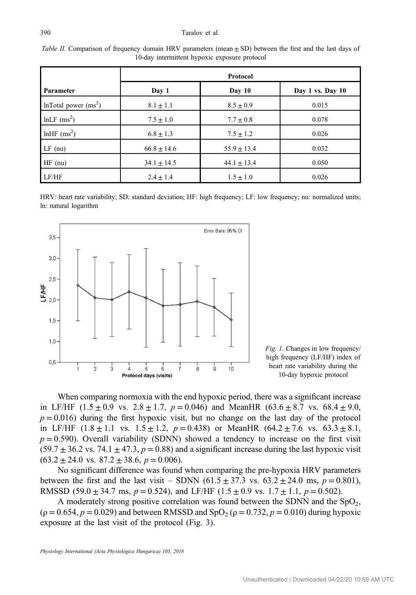#### <span id="page-4-0"></span>390 Taralov et al.

|                           | Protocol        |                 |                  |
|---------------------------|-----------------|-----------------|------------------|
| Parameter                 | Day 1           | Day $10$        | Day 1 vs. Day 10 |
| InTotal power $(ms^2)$    | $8.1 \pm 1.1$   | $8.5 \pm 0.9$   | 0.015            |
| $lnLF$ (ms <sup>2</sup> ) | $7.5 \pm 1.0$   | $7.7 \pm 0.8$   | 0.078            |
| lnHF $\rm (ms^2)$         | $6.8 \pm 1.3$   | $7.5 \pm 1.2$   | 0.026            |
| $LF$ (nu)                 | $66.8 \pm 14.6$ | $55.9 \pm 13.4$ | 0.032            |
| $HF$ (nu)                 | $34.1 \pm 14.5$ | $44.1 \pm 13.4$ | 0.050            |
| LF/HF                     | $2.4 \pm 1.4$   | $1.5 \pm 1.0$   | 0.026            |

Table II. Comparison of frequency domain HRV parameters (mean  $\pm$  SD) between the first and the last days of 10-day intermittent hypoxic exposure protocol

HRV: heart rate variability; SD: standard deviation; HF: high frequency; LF: low frequency; nu: normalized units; ln: natural logarithm





When comparing normoxia with the end hypoxic period, there was a significant increase in LF/HF (1.5  $\pm$  0.9 vs. 2.8  $\pm$  1.7, p = 0.046) and MeanHR (63.6  $\pm$  8.7 vs. 68.4  $\pm$  9.0,  $p = 0.016$ ) during the first hypoxic visit, but no change on the last day of the protocol in LF/HF  $(1.8 \pm 1.1 \text{ vs. } 1.5 \pm 1.2, p = 0.438)$  or MeanHR  $(64.2 \pm 7.6 \text{ vs. } 63.3 \pm 8.1,$  $p = 0.590$ . Overall variability (SDNN) showed a tendency to increase on the first visit  $(59.7 \pm 36.2 \text{ vs. } 74.1 \pm 47.3, p = 0.88)$  and a significant increase during the last hypoxic visit  $(63.2 \pm 24.0 \text{ vs. } 87.2 \pm 38.6, p = 0.006).$ 

No significant difference was found when comparing the pre-hypoxia HRV parameters between the first and the last visit – SDNN  $(61.5 \pm 37.3 \text{ vs. } 63.2 \pm 24.0 \text{ ms}, p = 0.801)$ , RMSSD (59.0  $\pm$  34.7 ms,  $p = 0.524$ ), and LF/HF (1.5  $\pm$  0.9 vs. 1.7  $\pm$  1.1,  $p = 0.502$ ).

A moderately strong positive correlation was found between the SDNN and the  $SpO<sub>2</sub>$ ,  $(\rho = 0.654, p = 0.029)$  and between RMSSD and SpO<sub>2</sub> ( $\rho = 0.732, p = 0.010$ ) during hypoxic exposure at the last visit of the protocol (Fig. [3\)](#page-5-0).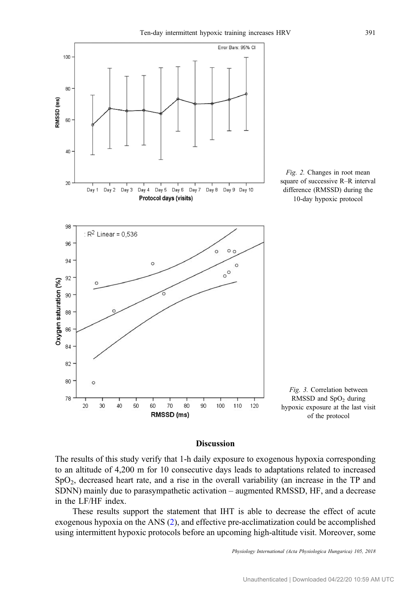<span id="page-5-0"></span>

# Discussion

The results of this study verify that 1-h daily exposure to exogenous hypoxia corresponding to an altitude of 4,200 m for 10 consecutive days leads to adaptations related to increased SpO2, decreased heart rate, and a rise in the overall variability (an increase in the TP and SDNN) mainly due to parasympathetic activation – augmented RMSSD, HF, and a decrease in the LF/HF index.

These results support the statement that IHT is able to decrease the effect of acute exogenous hypoxia on the ANS ([2\)](#page-8-0), and effective pre-acclimatization could be accomplished using intermittent hypoxic protocols before an upcoming high-altitude visit. Moreover, some

Physiology International (Acta Physiologica Hungarica) 105, 2018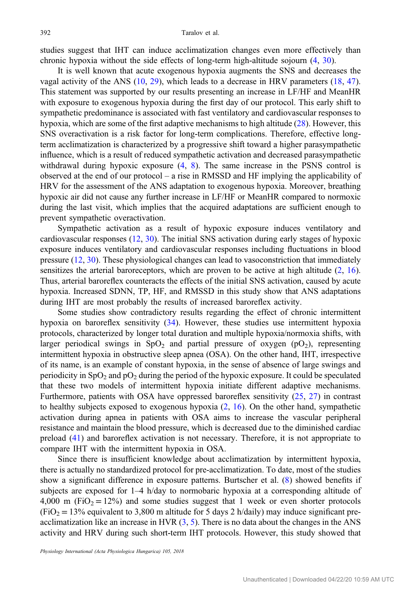studies suggest that IHT can induce acclimatization changes even more effectively than chronic hypoxia without the side effects of long-term high-altitude sojourn [\(4](#page-8-0), [30](#page-9-0)).

It is well known that acute exogenous hypoxia augments the SNS and decreases the vagal activity of the ANS [\(10](#page-8-0), [29\)](#page-9-0), which leads to a decrease in HRV parameters ([18,](#page-9-0) [47](#page-10-0)). This statement was supported by our results presenting an increase in LF/HF and MeanHR with exposure to exogenous hypoxia during the first day of our protocol. This early shift to sympathetic predominance is associated with fast ventilatory and cardiovascular responses to hypoxia, which are some of the first adaptive mechanisms to high altitude ([28\)](#page-9-0). However, this SNS overactivation is a risk factor for long-term complications. Therefore, effective longterm acclimatization is characterized by a progressive shift toward a higher parasympathetic influence, which is a result of reduced sympathetic activation and decreased parasympathetic withdrawal during hypoxic exposure [\(4](#page-8-0), [8\)](#page-8-0). The same increase in the PSNS control is observed at the end of our protocol – a rise in RMSSD and HF implying the applicability of HRV for the assessment of the ANS adaptation to exogenous hypoxia. Moreover, breathing hypoxic air did not cause any further increase in LF/HF or MeanHR compared to normoxic during the last visit, which implies that the acquired adaptations are sufficient enough to prevent sympathetic overactivation.

Sympathetic activation as a result of hypoxic exposure induces ventilatory and cardiovascular responses [\(12](#page-8-0), [30](#page-9-0)). The initial SNS activation during early stages of hypoxic exposure induces ventilatory and cardiovascular responses including fluctuations in blood pressure ([12,](#page-8-0) [30](#page-9-0)). These physiological changes can lead to vasoconstriction that immediately sensitizes the arterial baroreceptors, which are proven to be active at high altitude  $(2, 16)$  $(2, 16)$  $(2, 16)$  $(2, 16)$ . Thus, arterial baroreflex counteracts the effects of the initial SNS activation, caused by acute hypoxia. Increased SDNN, TP, HF, and RMSSD in this study show that ANS adaptations during IHT are most probably the results of increased baroreflex activity.

Some studies show contradictory results regarding the effect of chronic intermittent hypoxia on baroreflex sensitivity ([34\)](#page-9-0). However, these studies use intermittent hypoxia protocols, characterized by longer total duration and multiple hypoxia/normoxia shifts, with larger periodical swings in  $SpO<sub>2</sub>$  and partial pressure of oxygen (pO<sub>2</sub>), representing intermittent hypoxia in obstructive sleep apnea (OSA). On the other hand, IHT, irrespective of its name, is an example of constant hypoxia, in the sense of absence of large swings and periodicity in  $SpO<sub>2</sub>$  and  $pO<sub>2</sub>$  during the period of the hypoxic exposure. It could be speculated that these two models of intermittent hypoxia initiate different adaptive mechanisms. Furthermore, patients with OSA have oppressed baroreflex sensitivity [\(25](#page-9-0), [27\)](#page-9-0) in contrast to healthy subjects exposed to exogenous hypoxia  $(2, 16)$  $(2, 16)$  $(2, 16)$  $(2, 16)$ . On the other hand, sympathetic activation during apnea in patients with OSA aims to increase the vascular peripheral resistance and maintain the blood pressure, which is decreased due to the diminished cardiac preload ([41\)](#page-9-0) and baroreflex activation is not necessary. Therefore, it is not appropriate to compare IHT with the intermittent hypoxia in OSA.

Since there is insufficient knowledge about acclimatization by intermittent hypoxia, there is actually no standardized protocol for pre-acclimatization. To date, most of the studies show a significant difference in exposure patterns. Burtscher et al. [\(8](#page-8-0)) showed benefits if subjects are exposed for 1–4 h/day to normobaric hypoxia at a corresponding altitude of 4,000 m ( $FiO<sub>2</sub> = 12%)$  and some studies suggest that 1 week or even shorter protocols  $(FiO<sub>2</sub> = 13%$  equivalent to 3,800 m altitude for 5 days 2 h/daily) may induce significant preacclimatization like an increase in HVR  $(3, 5)$  $(3, 5)$  $(3, 5)$ . There is no data about the changes in the ANS activity and HRV during such short-term IHT protocols. However, this study showed that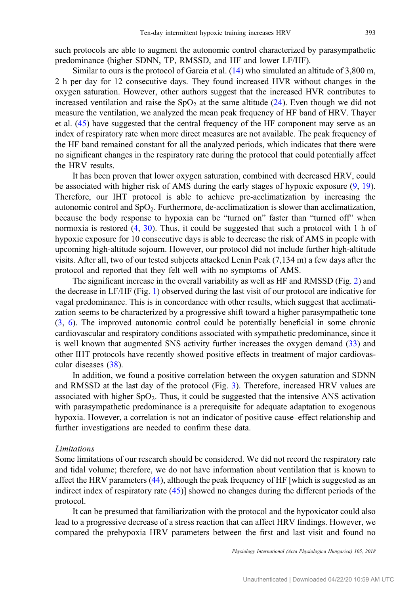such protocols are able to augment the autonomic control characterized by parasympathetic predominance (higher SDNN, TP, RMSSD, and HF and lower LF/HF).

Similar to ours is the protocol of Garcia et al. [\(14](#page-8-0)) who simulated an altitude of 3,800 m, 2 h per day for 12 consecutive days. They found increased HVR without changes in the oxygen saturation. However, other authors suggest that the increased HVR contributes to increased ventilation and raise the  $SpO<sub>2</sub>$  at the same altitude [\(24](#page-9-0)). Even though we did not measure the ventilation, we analyzed the mean peak frequency of HF band of HRV. Thayer et al. [\(45](#page-10-0)) have suggested that the central frequency of the HF component may serve as an index of respiratory rate when more direct measures are not available. The peak frequency of the HF band remained constant for all the analyzed periods, which indicates that there were no significant changes in the respiratory rate during the protocol that could potentially affect the HRV results.

It has been proven that lower oxygen saturation, combined with decreased HRV, could be associated with higher risk of AMS during the early stages of hypoxic exposure ([9,](#page-8-0) [19](#page-9-0)). Therefore, our IHT protocol is able to achieve pre-acclimatization by increasing the autonomic control and  $SpO<sub>2</sub>$ . Furthermore, de-acclimatization is slower than acclimatization, because the body response to hypoxia can be "turned on" faster than "turned off" when normoxia is restored [\(4](#page-8-0), [30](#page-9-0)). Thus, it could be suggested that such a protocol with 1 h of hypoxic exposure for 10 consecutive days is able to decrease the risk of AMS in people with upcoming high-altitude sojourn. However, our protocol did not include further high-altitude visits. After all, two of our tested subjects attacked Lenin Peak (7,134 m) a few days after the protocol and reported that they felt well with no symptoms of AMS.

The significant increase in the overall variability as well as HF and RMSSD (Fig. [2](#page-5-0)) and the decrease in LF/HF (Fig. [1](#page-4-0)) observed during the last visit of our protocol are indicative for vagal predominance. This is in concordance with other results, which suggest that acclimatization seems to be characterized by a progressive shift toward a higher parasympathetic tone [\(3](#page-8-0), [6\)](#page-8-0). The improved autonomic control could be potentially beneficial in some chronic cardiovascular and respiratory conditions associated with sympathetic predominance, since it is well known that augmented SNS activity further increases the oxygen demand [\(33](#page-9-0)) and other IHT protocols have recently showed positive effects in treatment of major cardiovascular diseases [\(38](#page-9-0)).

In addition, we found a positive correlation between the oxygen saturation and SDNN and RMSSD at the last day of the protocol (Fig. [3](#page-5-0)). Therefore, increased HRV values are associated with higher  $SpO<sub>2</sub>$ . Thus, it could be suggested that the intensive ANS activation with parasympathetic predominance is a prerequisite for adequate adaptation to exogenous hypoxia. However, a correlation is not an indicator of positive cause–effect relationship and further investigations are needed to confirm these data.

## Limitations

Some limitations of our research should be considered. We did not record the respiratory rate and tidal volume; therefore, we do not have information about ventilation that is known to affect the HRV parameters ([44\)](#page-10-0), although the peak frequency of HF [which is suggested as an indirect index of respiratory rate ([45\)](#page-10-0)] showed no changes during the different periods of the protocol.

It can be presumed that familiarization with the protocol and the hypoxicator could also lead to a progressive decrease of a stress reaction that can affect HRV findings. However, we compared the prehypoxia HRV parameters between the first and last visit and found no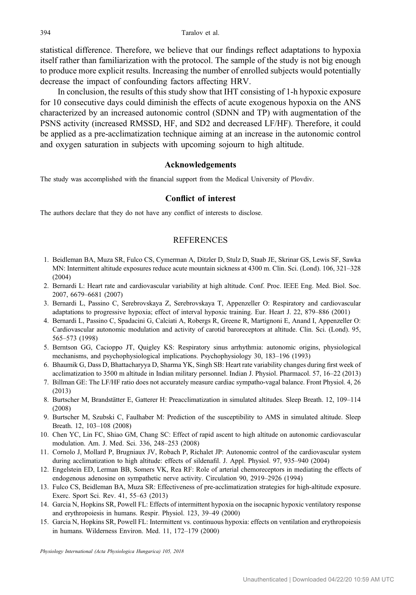<span id="page-8-0"></span>statistical difference. Therefore, we believe that our findings reflect adaptations to hypoxia itself rather than familiarization with the protocol. The sample of the study is not big enough to produce more explicit results. Increasing the number of enrolled subjects would potentially decrease the impact of confounding factors affecting HRV.

In conclusion, the results of this study show that IHT consisting of 1-h hypoxic exposure for 10 consecutive days could diminish the effects of acute exogenous hypoxia on the ANS characterized by an increased autonomic control (SDNN and TP) with augmentation of the PSNS activity (increased RMSSD, HF, and SD2 and decreased LF/HF). Therefore, it could be applied as a pre-acclimatization technique aiming at an increase in the autonomic control and oxygen saturation in subjects with upcoming sojourn to high altitude.

# Acknowledgements

The study was accomplished with the financial support from the Medical University of Plovdiv.

# Conflict of interest

The authors declare that they do not have any conflict of interests to disclose.

# **REFERENCES**

- 1. Beidleman BA, Muza SR, Fulco CS, Cymerman A, Ditzler D, Stulz D, Staab JE, Skrinar GS, Lewis SF, Sawka MN: Intermittent altitude exposures reduce acute mountain sickness at 4300 m. Clin. Sci. (Lond). 106, 321–328 (2004)
- 2. Bernardi L: Heart rate and cardiovascular variability at high altitude. Conf. Proc. IEEE Eng. Med. Biol. Soc. 2007, 6679–6681 (2007)
- 3. Bernardi L, Passino C, Serebrovskaya Z, Serebrovskaya T, Appenzeller O: Respiratory and cardiovascular adaptations to progressive hypoxia; effect of interval hypoxic training. Eur. Heart J. 22, 879–886 (2001)
- 4. Bernardi L, Passino C, Spadacini G, Calciati A, Robergs R, Greene R, Martignoni E, Anand I, Appenzeller O: Cardiovascular autonomic modulation and activity of carotid baroreceptors at altitude. Clin. Sci. (Lond). 95, 565–573 (1998)
- 5. Berntson GG, Cacioppo JT, Quigley KS: Respiratory sinus arrhythmia: autonomic origins, physiological mechanisms, and psychophysiological implications. Psychophysiology 30, 183–196 (1993)
- 6. Bhaumik G, Dass D, Bhattacharyya D, Sharma YK, Singh SB: Heart rate variability changes during first week of acclimatization to 3500 m altitude in Indian military personnel. Indian J. Physiol. Pharmacol. 57, 16–22 (2013)
- 7. Billman GE: The LF/HF ratio does not accurately measure cardiac sympatho-vagal balance. Front Physiol. 4, 26 (2013)
- 8. Burtscher M, Brandstätter E, Gatterer H: Preacclimatization in simulated altitudes. Sleep Breath. 12, 109–114 (2008)
- 9. Burtscher M, Szubski C, Faulhaber M: Prediction of the susceptibility to AMS in simulated altitude. Sleep Breath. 12, 103–108 (2008)
- 10. Chen YC, Lin FC, Shiao GM, Chang SC: Effect of rapid ascent to high altitude on autonomic cardiovascular modulation. Am. J. Med. Sci. 336, 248–253 (2008)
- 11. Cornolo J, Mollard P, Brugniaux JV, Robach P, Richalet JP: Autonomic control of the cardiovascular system during acclimatization to high altitude: effects of sildenafil. J. Appl. Physiol. 97, 935–940 (2004)
- 12. Engelstein ED, Lerman BB, Somers VK, Rea RF: Role of arterial chemoreceptors in mediating the effects of endogenous adenosine on sympathetic nerve activity. Circulation 90, 2919–2926 (1994)
- 13. Fulco CS, Beidleman BA, Muza SR: Effectiveness of pre-acclimatization strategies for high-altitude exposure. Exerc. Sport Sci. Rev. 41, 55–63 (2013)
- 14. Garcia N, Hopkins SR, Powell FL: Effects of intermittent hypoxia on the isocapnic hypoxic ventilatory response and erythropoiesis in humans. Respir. Physiol. 123, 39–49 (2000)
- 15. Garcia N, Hopkins SR, Powell FL: Intermittent vs. continuous hypoxia: effects on ventilation and erythropoiesis in humans. Wilderness Environ. Med. 11, 172–179 (2000)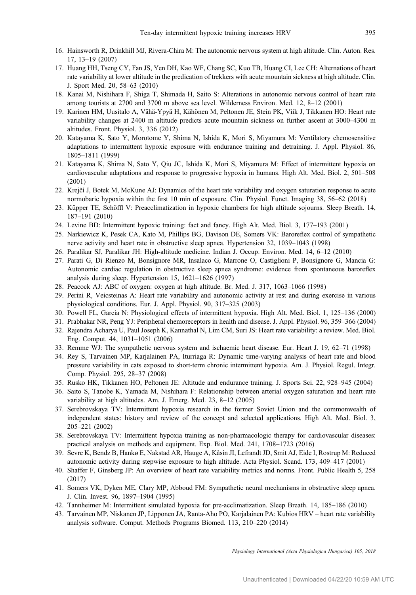- <span id="page-9-0"></span>16. Hainsworth R, Drinkhill MJ, Rivera-Chira M: The autonomic nervous system at high altitude. Clin. Auton. Res. 17, 13–19 (2007)
- 17. Huang HH, Tseng CY, Fan JS, Yen DH, Kao WF, Chang SC, Kuo TB, Huang CI, Lee CH: Alternations of heart rate variability at lower altitude in the predication of trekkers with acute mountain sickness at high altitude. Clin. J. Sport Med. 20, 58–63 (2010)
- 18. Kanai M, Nishihara F, Shiga T, Shimada H, Saito S: Alterations in autonomic nervous control of heart rate among tourists at 2700 and 3700 m above sea level. Wilderness Environ. Med. 12, 8–12 (2001)
- 19. Karinen HM, Uusitalo A, Vähä-Ypyä H, Kähönen M, Peltonen JE, Stein PK, Viik J, Tikkanen HO: Heart rate variability changes at 2400 m altitude predicts acute mountain sickness on further ascent at 3000–4300 m altitudes. Front. Physiol. 3, 336 (2012)
- 20. Katayama K, Sato Y, Morotome Y, Shima N, Ishida K, Mori S, Miyamura M: Ventilatory chemosensitive adaptations to intermittent hypoxic exposure with endurance training and detraining. J. Appl. Physiol. 86, 1805–1811 (1999)
- 21. Katayama K, Shima N, Sato Y, Qiu JC, Ishida K, Mori S, Miyamura M: Effect of intermittent hypoxia on cardiovascular adaptations and response to progressive hypoxia in humans. High Alt. Med. Biol. 2, 501–508 (2001)
- 22. Krejčí J, Botek M, McKune AJ: Dynamics of the heart rate variability and oxygen saturation response to acute normobaric hypoxia within the first 10 min of exposure. Clin. Physiol. Funct. Imaging 38, 56–62 (2018)
- 23. Küpper TE, Schöffl V: Preacclimatization in hypoxic chambers for high altitude sojourns. Sleep Breath. 14, 187–191 (2010)
- 24. Levine BD: Intermittent hypoxic training: fact and fancy. High Alt. Med. Biol. 3, 177–193 (2001)
- 25. Narkiewicz K, Pesek CA, Kato M, Phillips BG, Davison DE, Somers VK: Baroreflex control of sympathetic nerve activity and heart rate in obstructive sleep apnea. Hypertension 32, 1039–1043 (1998)
- 26. Paralikar SJ, Paralikar JH: High-altitude medicine. Indian J. Occup. Environ. Med. 14, 6–12 (2010)
- 27. Parati G, Di Rienzo M, Bonsignore MR, Insalaco G, Marrone O, Castiglioni P, Bonsignore G, Mancia G: Autonomic cardiac regulation in obstructive sleep apnea syndrome: evidence from spontaneous baroreflex analysis during sleep. Hypertension 15, 1621–1626 (1997)
- 28. Peacock AJ: ABC of oxygen: oxygen at high altitude. Br. Med. J. 317, 1063–1066 (1998)
- 29. Perini R, Veicsteinas A: Heart rate variability and autonomic activity at rest and during exercise in various physiological conditions. Eur. J. Appl. Physiol. 90, 317–325 (2003)
- 30. Powell FL, Garcia N: Physiological effects of intermittent hypoxia. High Alt. Med. Biol. 1, 125–136 (2000)
- 31. Prabhakar NR, Peng YJ: Peripheral chemoreceptors in health and disease. J. Appl. Physiol. 96, 359–366 (2004)
- 32. Rajendra Acharya U, Paul Joseph K, Kannathal N, Lim CM, Suri JS: Heart rate variability: a review. Med. Biol. Eng. Comput. 44, 1031–1051 (2006)
- 33. Remme WJ: The sympathetic nervous system and ischaemic heart disease. Eur. Heart J. 19, 62–71 (1998)
- 34. Rey S, Tarvainen MP, Karjalainen PA, Iturriaga R: Dynamic time-varying analysis of heart rate and blood pressure variability in cats exposed to short-term chronic intermittent hypoxia. Am. J. Physiol. Regul. Integr. Comp. Physiol. 295, 28–37 (2008)
- 35. Rusko HK, Tikkanen HO, Peltonen JE: Altitude and endurance training. J. Sports Sci. 22, 928–945 (2004)
- 36. Saito S, Tanobe K, Yamada M, Nishihara F: Relationship between arterial oxygen saturation and heart rate variability at high altitudes. Am. J. Emerg. Med. 23, 8–12 (2005)
- 37. Serebrovskaya TV: Intermittent hypoxia research in the former Soviet Union and the commonwealth of independent states: history and review of the concept and selected applications. High Alt. Med. Biol. 3, 205–221 (2002)
- 38. Serebrovskaya TV: Intermittent hypoxia training as non-pharmacologic therapy for cardiovascular diseases: practical analysis on methods and equipment. Exp. Biol. Med. 241, 1708–1723 (2016)
- 39. Sevre K, Bendz B, Hankø E, Nakstad AR, Hauge A, Kåsin JI, Lefrandt JD, Smit AJ, Eide I, Rostrup M: Reduced autonomic activity during stepwise exposure to high altitude. Acta Physiol. Scand. 173, 409–417 (2001)
- 40. Shaffer F, Ginsberg JP: An overview of heart rate variability metrics and norms. Front. Public Health 5, 258 (2017)
- 41. Somers VK, Dyken ME, Clary MP, Abboud FM: Sympathetic neural mechanisms in obstructive sleep apnea. J. Clin. Invest. 96, 1897–1904 (1995)
- 42. Tannheimer M: Intermittent simulated hypoxia for pre-acclimatization. Sleep Breath. 14, 185–186 (2010)
- 43. Tarvainen MP, Niskanen JP, Lipponen JA, Ranta-Aho PO, Karjalainen PA: Kubios HRV heart rate variability analysis software. Comput. Methods Programs Biomed. 113, 210–220 (2014)